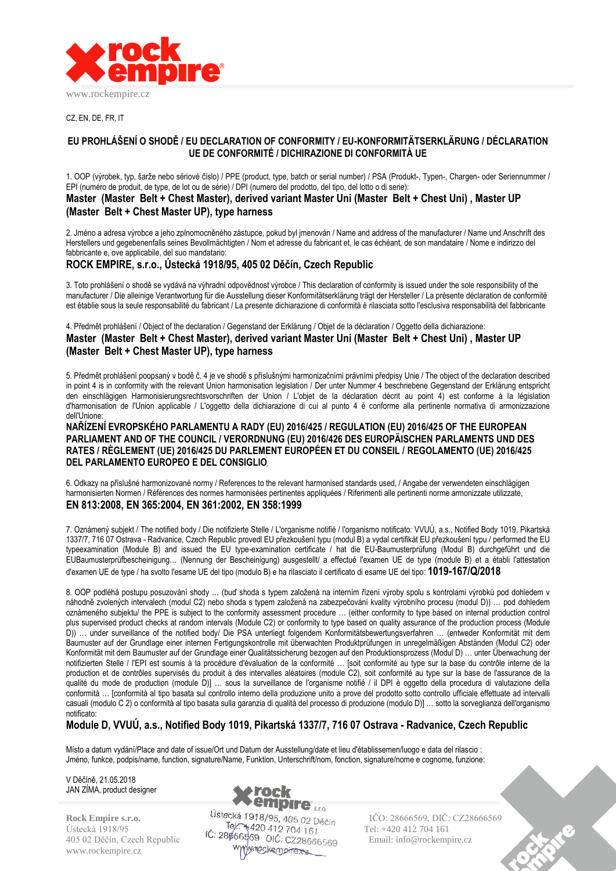

CZ, EN, DE, FR, IT

### **EU PROHLÁŠENÍ O SHODĚ / EU DECLARATION OF CONFORMITY / EU-KONFORMITÄTSERKLÄRUNG / DÉCLARATION UE DE CONFORMITÉ / DICHIRAZIONE DI CONFORMITÀ UE**

1. OOP (výrobek, typ, šarže nebo sériové číslo) / PPE (product, type, batch or serial number) / PSA (Produkt-, Typen-, Chargen- oder Seriennummer / EPI (numéro de produit, de type, de lot ou de série) / DPI (numero del prodotto, del tipo, del lotto o di serie):

### **Master (Master Belt + Chest Master), derived variant Master Uni (Master Belt + Chest Uni) , Master UP (Master Belt + Chest Master UP), type harness**

2. Jméno a adresa výrobce a jeho zplnomocněného zástupce, pokud byl jmenován / Name and address of the manufacturer / Name und Anschrift des Herstellers und gegebenenfalls seines Bevollmächtigten / Nom et adresse du fabricant et, le cas échéant, de son mandataire / Nome e indirizzo del fabbricante e, ove applicabile, del suo mandatario:

## **ROCK EMPIRE, s.r.o., Ústecká 1918/95, 405 02 Děčín, Czech Republic**

3. Toto prohlášení o shodě se vydává na výhradní odpovědnost výrobce / This declaration of conformity is issued under the sole responsibility of the manufacturer / Die alleinige Verantwortung für die Ausstellung dieser Konformitätserklärung trägt der Hersteller / La présente déclaration de conformité est établie sous la seule responsabilité du fabricant / La presente dichiarazione di conformità è rilasciata sotto l'esclusiva responsabilità del fabbricante

4. Předmět prohlášení / Object of the declaration / Gegenstand der Erklärung / Objet de la déclaration / Oggetto della dichiarazione: **Master (Master Belt + Chest Master), derived variant Master Uni (Master Belt + Chest Uni) , Master UP (Master Belt + Chest Master UP), type harness**

5. Předmět prohlášení poopsaný v bodě č. 4 je ve shodě s příslušnými harmonizačními právními předpisy Unie / The object of the declaration described in point 4 is in conformity with the relevant Union harmonisation legislation / Der unter Nummer 4 beschriebene Gegenstand der Erklärung entspricht den einschlägigen Harmonisierungsrechtsvorschriften der Union / L'objet de la déclaration décrit au point 4) est conforme à la législation d'harmonisation de l'Union applicable / L'oggetto della dichiarazione di cui al punto 4 è conforme alla pertinente normativa di armonizzazione dell'Unione:

**NAŘÍZENÍ EVROPSKÉHO PARLAMENTU A RADY (EU) 2016/425 / REGULATION (EU) 2016/425 OF THE EUROPEAN PARLIAMENT AND OF THE COUNCIL / VERORDNUNG (EU) 2016/426 DES EUROPÄISCHEN PARLAMENTS UND DES RATES / RÈGLEMENT (UE) 2016/425 DU PARLEMENT EUROPÉEN ET DU CONSEIL / REGOLAMENTO (UE) 2016/425 DEL PARLAMENTO EUROPEO E DEL CONSIGLIO**

6. Odkazy na příslušné harmonizované normy / References to the relevant harmonised standards used, / Angabe der verwendeten einschlägigen harmonisierten Normen / Références des normes harmonisées pertinentes appliquées / Riferimenti alle pertinenti norme armonizzate utilizzate, **EN 813:2008, EN 365:2004, EN 361:2002, EN 358:1999**

7. Oznámený subjekt / The notified body / Die notifizierte Stelle / L'organisme notifié / l'organismo notificato: VVUÚ, a.s., Notified Body 1019, Pikartská 1337/7, 716 07 Ostrava - Radvanice, Czech Republic provedl EU přezkoušení typu (modul B) a vydal certifikát EU přezkoušení typu / performed the EU typeexamination (Module B) and issued the EU type-examination certificate / hat die EU-Baumusterprüfung (Modul B) durchgeführt und die EUBaumusterprüfbescheinigung… (Nennung der Bescheinigung) ausgestellt/ a effectué l'examen UE de type (module B) et a établi l'attestation d'examen UE de type / ha svolto l'esame UE del tipo (modulo B) e ha rilasciato il certificato di esame UE del tipo: **1019-167/Q/2018**

8. OOP podléhá postupu posuzování shody … (buď shoda s typem založená na interním řízení výroby spolu s kontrolami výrobků pod dohledem v náhodně zvolených intervalech (modul C2) nebo shoda s typem založená na zabezpečování kvality výrobního procesu (modul D)) … pod dohledem oznámeného subjektu/ the PPE is subject to the conformity assessment procedure … (either conformity to type based on internal production control plus supervised product checks at random intervals (Module C2) or conformity to type based on quality assurance of the production process (Module D)) … under surveillance of the notified body/ Die PSA unterliegt folgendem Konformitätsbewertungsverfahren … (entweder Konformität mit dem Baumuster auf der Grundlage einer internen Fertigungskontrolle mit überwachten Produktprüfungen in unregelmäßigen Abständen (Modul C2) oder Konformität mit dem Baumuster auf der Grundlage einer Qualitätssicherung bezogen auf den Produktionsprozess (Modul D) … unter Überwachung der notifizierten Stelle / l'EPI est soumis à la procédure d'évaluation de la conformité … [soit conformité au type sur la base du contrôle interne de la production et de contrôles supervisés du produit à des intervalles aléatoires (module C2), soit conformité au type sur la base de l'assurance de la qualité du mode de production (module D)] … sous la surveillance de l'organisme notifié / il DPI è oggetto della procedura di valutazione della conformità … [conformità al tipo basata sul controllo interno della produzione unito a prove del prodotto sotto controllo ufficiale effettuate ad intervalli casuali (modulo C 2) o conformità al tipo basata sulla garanzia di qualità del processo di produzione (modulo D)] … sotto la sorveglianza dell'organismo notificato:

**Module D, VVUÚ, a.s., Notified Body 1019, Pikartská 1337/7, 716 07 Ostrava - Radvanice, Czech Republic**

Místo a datum vydání/Place and date of issue/Ort und Datum der Ausstellung/date et lieu d'établissemen/luogo e data del rilascio : Jméno, funkce, podpis/name, function, signature/Name, Funktion, Unterschrift/nom, fonction, signature/nome e cognome, funzione:

V Děčíně, 21.05.2018 JAN ZÍMA, product designer

www.rockempire.cz



**Rock Empire s.r.o.** IČO: 28666569, DIČ: CZ28666569 Ústecká 1918/95 M. P. P. 1420 412 704 161 Tel: +420 412 704 161 405 02 Děčín, Czech Republic <sup>10</sup> 20<sup>0</sup>0909 DIC: CZ28666569 Email: info@rockempire.cz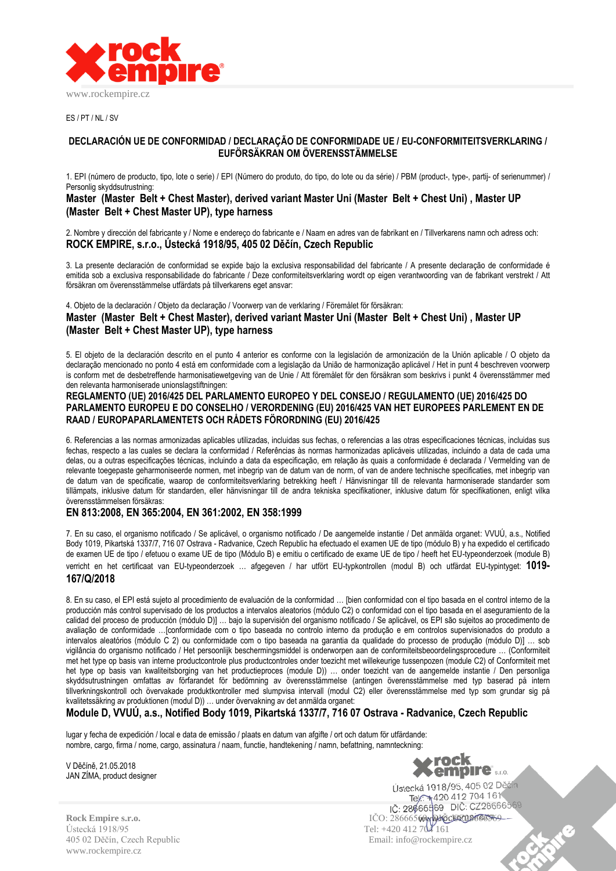

ES / PT / NL / SV

### **DECLARACIÓN UE DE CONFORMIDAD / DECLARAÇÃO DE CONFORMIDADE UE / EU-CONFORMITEITSVERKLARING / EUFÖRSÄKRAN OM ÖVERENSSTÄMMELSE**

1. EPI (número de producto, tipo, lote o serie) / EPI (Número do produto, do tipo, do lote ou da série) / PBM (product-, type-, partij- of serienummer) / Personlig skyddsutrustning:

### **Master (Master Belt + Chest Master), derived variant Master Uni (Master Belt + Chest Uni) , Master UP (Master Belt + Chest Master UP), type harness**

2. Nombre y dirección del fabricante y / Nome e endereço do fabricante e / Naam en adres van de fabrikant en / Tillverkarens namn och adress och: **ROCK EMPIRE, s.r.o., Ústecká 1918/95, 405 02 Děčín, Czech Republic**

3. La presente declaración de conformidad se expide bajo la exclusiva responsabilidad del fabricante / A presente declaração de conformidade é emitida sob a exclusiva responsabilidade do fabricante / Deze conformiteitsverklaring wordt op eigen verantwoording van de fabrikant verstrekt / Att försäkran om överensstämmelse utfärdats på tillverkarens eget ansvar:

4. Objeto de la declaración / Objeto da declaração / Voorwerp van de verklaring / Föremålet för försäkran: **Master (Master Belt + Chest Master), derived variant Master Uni (Master Belt + Chest Uni) , Master UP (Master Belt + Chest Master UP), type harness**

5. El objeto de la declaración descrito en el punto 4 anterior es conforme con la legislación de armonización de la Unión aplicable / O objeto da declaração mencionado no ponto 4 está em conformidade com a legislação da União de harmonização aplicável / Het in punt 4 beschreven voorwerp is conform met de desbetreffende harmonisatiewetgeving van de Unie / Att föremålet för den försäkran som beskrivs i punkt 4 överensstämmer med den relevanta harmoniserade unionslagstiftningen:

#### **REGLAMENTO (UE) 2016/425 DEL PARLAMENTO EUROPEO Y DEL CONSEJO / REGULAMENTO (UE) 2016/425 DO PARLAMENTO EUROPEU E DO CONSELHO / VERORDENING (EU) 2016/425 VAN HET EUROPEES PARLEMENT EN DE RAAD / EUROPAPARLAMENTETS OCH RÅDETS FÖRORDNING (EU) 2016/425**

6. Referencias a las normas armonizadas aplicables utilizadas, incluidas sus fechas, o referencias a las otras especificaciones técnicas, incluidas sus fechas, respecto a las cuales se declara la conformidad / Referências às normas harmonizadas aplicáveis utilizadas, incluindo a data de cada uma delas, ou a outras especificações técnicas, incluindo a data da especificação, em relação às quais a conformidade é declarada / Vermelding van de relevante toegepaste geharmoniseerde normen, met inbegrip van de datum van de norm, of van de andere technische specificaties, met inbegrip van de datum van de specificatie, waarop de conformiteitsverklaring betrekking heeft / Hänvisningar till de relevanta harmoniserade standarder som tillämpats, inklusive datum för standarden, eller hänvisningar till de andra tekniska specifikationer, inklusive datum för specifikationen, enligt vilka överensstämmelsen försäkras:

# **EN 813:2008, EN 365:2004, EN 361:2002, EN 358:1999**

7. En su caso, el organismo notificado / Se aplicável, o organismo notificado / De aangemelde instantie / Det anmälda organet: VVUÚ, a.s., Notified Body 1019, Pikartská 1337/7, 716 07 Ostrava - Radvanice, Czech Republic ha efectuado el examen UE de tipo (módulo B) y ha expedido el certificado de examen UE de tipo / efetuou o exame UE de tipo (Módulo B) e emitiu o certificado de exame UE de tipo / heeft het EU-typeonderzoek (module B) verricht en het certificaat van EU-typeonderzoek … afgegeven / har utfört EU-typkontrollen (modul B) och utfärdat EU-typintyget: **1019- 167/Q/2018**

8. En su caso, el EPI está sujeto al procedimiento de evaluación de la conformidad … [bien conformidad con el tipo basada en el control interno de la producción más control supervisado de los productos a intervalos aleatorios (módulo C2) o conformidad con el tipo basada en el aseguramiento de la calidad del proceso de producción (módulo D)] … bajo la supervisión del organismo notificado / Se aplicável, os EPI são sujeitos ao procedimento de avaliação de conformidade …[conformidade com o tipo baseada no controlo interno da produção e em controlos supervisionados do produto a intervalos aleatórios (módulo C 2) ou conformidade com o tipo baseada na garantia da qualidade do processo de produção (módulo D)] … sob vigilância do organismo notificado / Het persoonlijk beschermingsmiddel is onderworpen aan de conformiteitsbeoordelingsprocedure … (Conformiteit met het type op basis van interne productcontrole plus productcontroles onder toezicht met willekeurige tussenpozen (module C2) of Conformiteit met het type op basis van kwaliteitsborging van het productieproces (module D)) … onder toezicht van de aangemelde instantie / Den personliga skyddsutrustningen omfattas av förfarandet för bedömning av överensstämmelse (antingen överensstämmelse med typ baserad på intern tillverkningskontroll och övervakade produktkontroller med slumpvisa intervall (modul C2) eller överensstämmelse med typ som grundar sig på kvalitetssäkring av produktionen (modul D)) … under övervakning av det anmälda organet:

**Module D, VVUÚ, a.s., Notified Body 1019, Pikartská 1337/7, 716 07 Ostrava - Radvanice, Czech Republic**

lugar y fecha de expedición / local e data de emissão / plaats en datum van afgifte / ort och datum för utfärdande: nombre, cargo, firma / nome, cargo, assinatura / naam, functie, handtekening / namn, befattning, namnteckning:

V Děčíně, 21.05.2018 JAN ZÍMA, product designer

∙rock  $\bullet$  empire  $_{\sf s.r.o.}$ Ústecká 1918/95, 405 02 Děčín Tel: +420 412 704 161

CO

**Rock Empire s.r.o.** IČO: 28666569, DIČ: CZ28666569 Ústecká 1918/95 Tel: +420 412 704 161 405 02 Děčín, Czech Republic Email: info@rockempire.cz www.rockempire.cz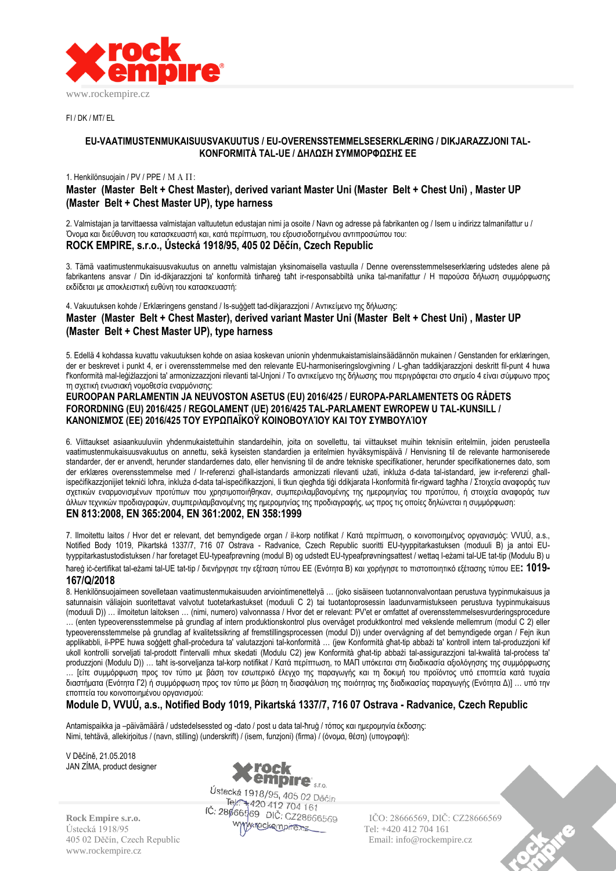

FI / DK / MT/ EL

### **EU-VAATIMUSTENMUKAISUUSVAKUUTUS / EU-OVERENSSTEMMELSESERKLÆRING / DIKJARAZZJONI TAL-KONFORMITÀ TAL-UE / ΔΗΛΩΣΗ ΣΥΜΜΟΡΦΩΣΗΣ ΕΕ**

#### 1. Henkilönsuojain / PV / PPE / ΜΑΠ:

# **Master (Master Belt + Chest Master), derived variant Master Uni (Master Belt + Chest Uni) , Master UP (Master Belt + Chest Master UP), type harness**

2. Valmistaian ia tarvittaessa valmistajan valtuutetun edustajan nimi ja osoite / Navn og adresse på fabrikanten og / Isem u indirizz talmanifattur u / Όνομα και διεύθυνση του κατασκευαστή και, κατά περίπτωση, του εξουσιοδοτημένου αντιπροσώπου του: **ROCK EMPIRE, s.r.o., Ústecká 1918/95, 405 02 Děčín, Czech Republic**

3. Tämä vaatimustenmukaisuusvakuutus on annettu valmistajan yksinomaisella vastuulla / Denne overensstemmelseserklæring udstedes alene på fabrikantens ansvar / Din id-dikjarazzjoni ta' konformità tinħareġ taħt ir-responsabbiltà unika tal-manifattur / Η παρούσα δήλωση συμμόρφωσης εκδίδεται με αποκλειστική ευθύνη του κατασκευαστή:

4. Vakuutuksen kohde / Erklæringens genstand / Is-suġġett tad-dikjarazzjoni / Αντικείμενο της δήλωσης: **Master (Master Belt + Chest Master), derived variant Master Uni (Master Belt + Chest Uni) , Master UP (Master Belt + Chest Master UP), type harness**

5. Edellä 4 kohdassa kuvattu vakuutuksen kohde on asiaa koskevan unionin yhdenmukaistamislainsäädännön mukainen / Genstanden for erklæringen, der er beskrevet i punkt 4, er i overensstemmelse med den relevante EU-harmoniseringslovgivning / L-għan taddikjarazzjoni deskritt fil-punt 4 huwa f'konformità mal-leġiżlazzjoni ta' armonizzazzjoni rilevanti tal-Unjoni / Το αντικείμενο της δήλωσης που περιγράφεται στο σημείο 4 είναι σύμφωνο προς τη σχετική ενωσιακή νομοθεσία εναρμόνισης:

### **EUROOPAN PARLAMENTIN JA NEUVOSTON ASETUS (EU) 2016/425 / EUROPA-PARLAMENTETS OG RÅDETS FORORDNING (EU) 2016/425 / REGOLAMENT (UE) 2016/425 TAL-PARLAMENT EWROPEW U TAL-KUNSILL / ΚΑΝΟΝΙΣΜΌΣ (ΕΕ) 2016/425 ΤΟΥ ΕΥΡΩΠΑΪΚΟΫ ΚΟΙΝΟΒΟΥΛΊΟΥ ΚΑΙ ΤΟΥ ΣΥΜΒΟΥΛΊΟΥ**

6. Viittaukset asiaankuuluviin yhdenmukaistettuihin standardeihin, joita on sovellettu, tai viittaukset muihin teknisiin eritelmiin, joiden perusteella vaatimustenmukaisuusvakuutus on annettu, sekä kyseisten standardien ja eritelmien hyväksymispäivä / Henvisning til de relevante harmoniserede standarder, der er anvendt, herunder standardernes dato, eller henvisning til de andre tekniske specifikationer, herunder specifikationernes dato, som der erklæres overensstemmelse med / Ir-referenzi għall-istandards armonizzati rilevanti użati, inkluża d-data tal-istandard, jew ir-referenzi għallispeċifikazzjonijiet tekniċi loħra, inkluża d-data tal-ispeċifikazzjoni, li tkun qiegħda tiġi ddikjarata l-konformità fir-rigward tagħha / Στοιχεία αναφοράς των σχετικών εναρμονισμένων προτύπων που χρησιμοποιήθηκαν, συμπεριλαμβανομένης της ημερομηνίας του προτύπου, ή στοιχεία αναφοράς των άλλων τεχνικών προδιαγραφών, συμπεριλαμβανομένης της ημερομηνίας της προδιαγραφής, ως προς τις οποίες δηλώνεται η συμμόρφωση: **EN 813:2008, EN 365:2004, EN 361:2002, EN 358:1999**

7. Ilmoitettu laitos / Hvor det er relevant, det bemyndigede organ / il-korp notifikat / Κατά περίπτωση, ο κοινοποιημένος οργανισμός: VVUÚ, a.s., Notified Body 1019, Pikartská 1337/7, 716 07 Ostrava - Radvanice, Czech Republic suoritti EU-tyyppitarkastuksen (moduuli B) ja antoi EUtyyppitarkastustodistuksen / har foretaget EU-typeafprøvning (modul B) og udstedt EU-typeafprøvningsattest / wettaq l-eżami tal-UE tat-tip (Modulu B) u ħareġ iċ-ċertifikat tal-eżami tal-UE tat-tip / διενήργησε την εξέταση τύπου ΕΕ (Ενότητα B) και χορήγησε το πιστοποιητικό εξέτασης τύπου ΕΕ**: 1019-**

#### **167/Q/2018**

8. Henkilönsuojaimeen sovelletaan vaatimustenmukaisuuden arviointimenettelyä … (joko sisäiseen tuotannonvalvontaan perustuva tyypinmukaisuus ja satunnaisin väliajoin suoritettavat valvotut tuotetarkastukset (moduuli C 2) tai tuotantoprosessin laadunvarmistukseen perustuva tyypinmukaisuus (moduuli D)) … ilmoitetun laitoksen … (nimi, numero) valvonnassa / Hvor det er relevant: PV'et er omfattet af overensstemmelsesvurderingsprocedure … (enten typeoverensstemmelse på grundlag af intern produktionskontrol plus overvåget produktkontrol med vekslende mellemrum (modul C 2) eller typeoverensstemmelse på grundlag af kvalitetssikring af fremstillingsprocessen (modul D)) under overvågning af det bemyndigede organ / Fejn ikun applikabbli, il-PPE huwa soġġett għall-proċedura ta' valutazzjoni tal-konformità … (jew Konformità għat-tip abbażi ta' kontroll intern tal-produzzjoni kif ukoll kontrolli sorveljati tal-prodott f'intervalli mhux skedati (Modulu C2) jew Konformità għat-tip abbażi tal-assigurazzjoni tal-kwalità tal-proċess ta' produzzjoni (Modulu D)) … taħt is-sorveljanza tal-korp notifikat / Κατά περίπτωση, το ΜΑΠ υπόκειται στη διαδικασία αξιολόγησης της συμμόρφωσης … [είτε συμμόρφωση προς τον τύπο με βάση τον εσωτερικό έλεγχο της παραγωγής και τη δοκιμή του προϊόντος υπό εποπτεία κατά τυχαία διαστήματα (Ενότητα Γ2) ή συμμόρφωση προς τον τύπο με βάση τη διασφάλιση της ποιότητας της διαδικασίας παραγωγής (Ενότητα Δ)] … υπό την εποπτεία του κοινοποιημένου οργανισμού:

# **Module D, VVUÚ, a.s., Notified Body 1019, Pikartská 1337/7, 716 07 Ostrava - Radvanice, Czech Republic**

Antamispaikka ja –päivämäärä / udstedelsessted og -dato / post u data tal-ħruġ / τόπος και ημερομηνία έκδοσης: Nimi, tehtävä, allekirjoitus / (navn, stilling) (underskrift) / (isem, funzjoni) (firma) / (όνομα, θέση) (υπογραφή):

V Děčíně, 21.05.2018 JAN ZÍMA, product designer

405 02 Děčín, Czech Republic Email: info@rockempire.cz www.rockempire.cz



Ústecká 1918/95, 405 02 Děčín Seka 1916/95, 405 02 D<br>Tel: 1420 412 704 161 **Rock Empire s.r.o. IČ: 28666569 DIČ: CZ28**666569 **IČO: 28666569, DIČ: CZ28666569**<br> **ICO: 28666569, DIČ: CZ28666569 IČO: 28666569, DIČ: CZ28666569** Ústecká 1918/95 Tel: +420 412 704 161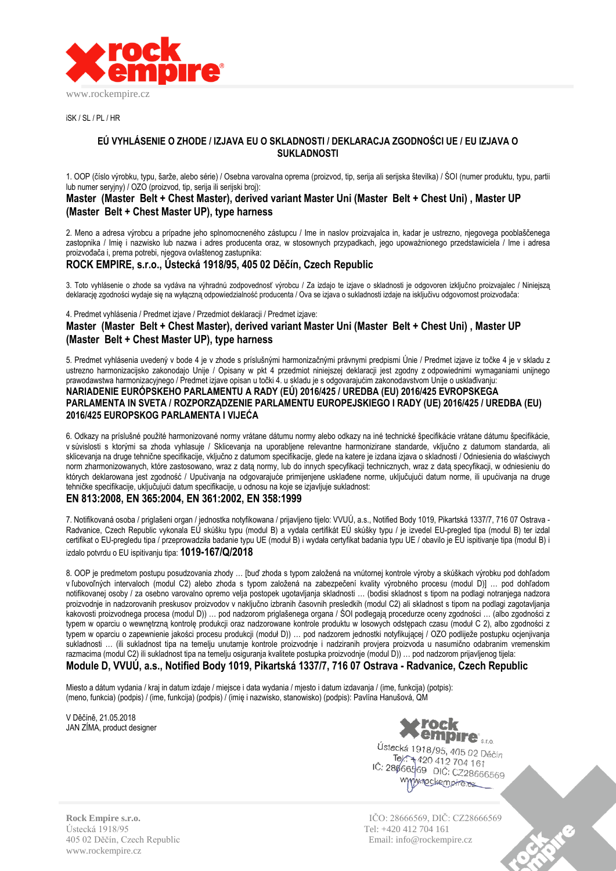

iSK / SL / PL / HR

### **EÚ VYHLÁSENIE O ZHODE / IZJAVA EU O SKLADNOSTI / DEKLARACJA ZGODNOŚCI UE / EU IZJAVA O SUKLADNOSTI**

1. OOP (číslo výrobku, typu, šarže, alebo série) / Osebna varovalna oprema (proizvod, tip, serija ali serijska številka) / ŚOI (numer produktu, typu, partii lub numer seryjny) / OZO (proizvod, tip, serija ili serijski broj):

### **Master (Master Belt + Chest Master), derived variant Master Uni (Master Belt + Chest Uni) , Master UP (Master Belt + Chest Master UP), type harness**

2. Meno a adresa výrobcu a prípadne jeho splnomocneného zástupcu / Ime in naslov proizvajalca in, kadar je ustrezno, njegovega pooblaščenega zastopnika / Imię i nazwisko lub nazwa i adres producenta oraz, w stosownych przypadkach, jego upoważnionego przedstawiciela / Ime i adresa proizvođača i, prema potrebi, njegova ovlaštenog zastupnika:

# **ROCK EMPIRE, s.r.o., Ústecká 1918/95, 405 02 Děčín, Czech Republic**

3. Toto vyhlásenie o zhode sa vydáva na výhradnú zodpovednosť výrobcu / Za izdajo te izjave o skladnosti je odgovoren izključno proizvajalec / Niniejszą deklarację zgodności wydaje się na wyłączną odpowiedzialność producenta / Ova se izjava o sukladnosti izdaje na isključivu odgovornost proizvođača:

4. Predmet vyhlásenia / Predmet izjave / Przedmiot deklaracji / Predmet izjave:

**Master (Master Belt + Chest Master), derived variant Master Uni (Master Belt + Chest Uni) , Master UP (Master Belt + Chest Master UP), type harness**

5. Predmet vyhlásenia uvedený v bode 4 je v zhode s príslušnými harmonizačnými právnymi predpismi Únie / Predmet izjave iz točke 4 je v skladu z ustrezno harmonizacijsko zakonodajo Unije / Opisany w pkt 4 przedmiot niniejszej deklaracji jest zgodny z odpowiednimi wymaganiami unijnego prawodawstwa harmonizacyjnego / Predmet izjave opisan u točki 4. u skladu je s odgovarajućim zakonodavstvom Unije o usklađivanju: **NARIADENIE EURÓPSKEHO PARLAMENTU A RADY (EÚ) 2016/425 / UREDBA (EU) 2016/425 EVROPSKEGA** 

# **PARLAMENTA IN SVETA / ROZPORZĄDZENIE PARLAMENTU EUROPEJSKIEGO I RADY (UE) 2016/425 / UREDBA (EU) 2016/425 EUROPSKOG PARLAMENTA I VIJEĆA**

6. Odkazy na príslušné použité harmonizované normy vrátane dátumu normy alebo odkazy na iné technické špecifikácie vrátane dátumu špecifikácie, v súvislosti s ktorými sa zhoda vyhlasuje / Sklicevanja na uporabljene relevantne harmonizirane standarde, vključno z datumom standarda, ali sklicevanja na druge tehnične specifikacije, vključno z datumom specifikacije, glede na katere je izdana izjava o skladnosti / Odniesienia do właściwych norm zharmonizowanych, które zastosowano, wraz z datą normy, lub do innych specyfikacji technicznych, wraz z datą specyfikacji, w odniesieniu do których deklarowana jest zgodność / Upućivanja na odgovarajuće primijenjene usklađene norme, uključujući datum norme, ili upućivanja na druge tehničke specifikacije, uključujući datum specifikacije, u odnosu na koje se izjavljuje sukladnost:

## **EN 813:2008, EN 365:2004, EN 361:2002, EN 358:1999**

7. Notifikovaná osoba / priglašeni organ / jednostka notyfikowana / prijavljeno tijelo: VVUÚ, a.s., Notified Body 1019, Pikartská 1337/7, 716 07 Ostrava - Radvanice, Czech Republic vykonala EÚ skúšku typu (modul B) a vydala certifikát EÚ skúšky typu / je izvedel EU-pregled tipa (modul B) ter izdal certifikat o EU-pregledu tipa / przeprowadziła badanie typu UE (moduł B) i wydała certyfikat badania typu UE / obavilo je EU ispitivanje tipa (modul B) i izdalo potvrdu o EU ispitivanju tipa: **1019-167/Q/2018**

8. OOP je predmetom postupu posudzovania zhody … [buď zhoda s typom založená na vnútornej kontrole výroby a skúškach výrobku pod dohľadom v ľubovoľných intervaloch (modul C2) alebo zhoda s typom založená na zabezpečení kvality výrobného procesu (modul D)] … pod dohľadom notifikovanej osoby / za osebno varovalno opremo velja postopek ugotavljanja skladnosti ... (bodisi skladnost s tipom na podlagi notranjega nadzora proizvodnje in nadzorovanih preskusov proizvodov v naključno izbranih časovnih presledkih (modul C2) ali skladnost s tipom na podlagi zagotavljanja kakovosti proizvodnega procesa (modul D)) … pod nadzorom priglašenega organa / ŚOI podlegają procedurze oceny zgodności … (albo zgodności z typem w oparciu o wewnętrzną kontrolę produkcji oraz nadzorowane kontrole produktu w losowych odstępach czasu (moduł C 2), albo zgodności z typem w oparciu o zapewnienie jakości procesu produkcji (moduł D)) … pod nadzorem jednostki notyfikującej / OZO podliježe postupku ocjenjivanja sukladnosti … (ili sukladnost tipa na temelju unutarnje kontrole proizvodnje i nadziranih provjera proizvoda u nasumično odabranim vremenskim razmacima (modul C2) ili sukladnost tipa na temelju osiguranja kvalitete postupka proizvodnje (modul D)) … pod nadzorom prijavljenog tijela: **Module D, VVUÚ, a.s., Notified Body 1019, Pikartská 1337/7, 716 07 Ostrava - Radvanice, Czech Republic**

Miesto a dátum vydania / kraj in datum izdaje / miejsce i data wydania / mjesto i datum izdavanja / (ime, funkcija) (potpis): (meno, funkcia) (podpis) / (ime, funkcija) (podpis) / (imię i nazwisko, stanowisko) (podpis): Pavlína Hanušová, QM

V Děčíně, 21.05.2018 JAN ZÍMA, product designer



Ústecká 1918/95, 405 02 Děčín Tel: +420 412 704 161 IČ: 28666569 DIČ: CZ28666569 www.nockempire.cz

Ústecká 1918/95 Tel: +420 412 704 161 405 02 Děčín, Czech Republic Email: info@rockempire.cz www.rockempire.cz

**Rock Empire s.r.o.** IČO: 28666569, DIČ: CZ28666569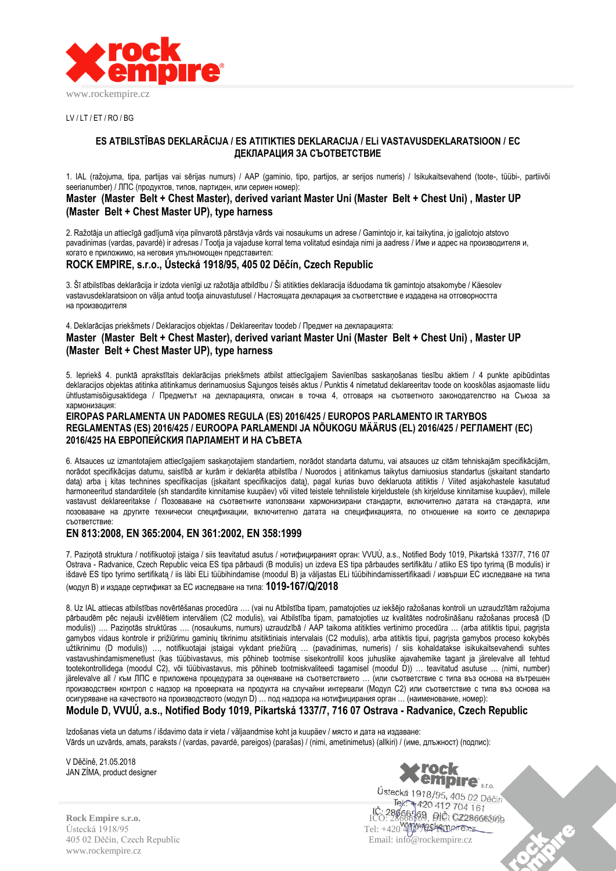

 $UV/IT/FT/RO/RG$ 

### **ES ATBILSTĪBAS DEKLARĀCIJA / ES ATITIKTIES DEKLARACIJA / ELi VASTAVUSDEKLARATSIOON / ЕС ДЕКЛАРАЦИЯ ЗА СЪОТВЕТСТВИЕ**

1. IAL (ražojuma, tipa, partijas vai sērijas numurs) / AAP (gaminio, tipo, partijos, ar serijos numeris) / Isikukaitsevahend (toote-, tüübi-, partiivõi seerianumber) / ЛПС (продуктов, типов, партиден, или сериен номер):

### **Master (Master Belt + Chest Master), derived variant Master Uni (Master Belt + Chest Uni) , Master UP (Master Belt + Chest Master UP), type harness**

2. Ražotāja un attiecīgā gadījumā viņa pilnvarotā pārstāvja vārds vai nosaukums un adrese / Gamintojo ir, kai taikytina, jo įgaliotojo atstovo pavadinimas (vardas, pavardė) ir adresas / Tootja ja vajaduse korral tema volitatud esindaja nimi ja aadress / Име и адрес на производителя и, когато е приложимо, на неговия упълномощен представител:

## **ROCK EMPIRE, s.r.o., Ústecká 1918/95, 405 02 Děčín, Czech Republic**

3. Šī atbilstības deklarācija ir izdota vienīgi uz ražotāja atbildību / Ši atitikties deklaracija išduodama tik gamintojo atsakomybe / Käesolev vastavusdeklaratsioon on välja antud tootja ainuvastutusel / Настоящата декларация за съответствие е издадена на отговорността на производителя

4. Deklarācijas priekšmets / Deklaracijos objektas / Deklareeritav toodeb / Предмет на декларацията:

**Master (Master Belt + Chest Master), derived variant Master Uni (Master Belt + Chest Uni) , Master UP (Master Belt + Chest Master UP), type harness**

5. Iepriekš 4. punktā aprakstītais deklarācijas priekšmets atbilst attiecīgajiem Savienības saskaņošanas tiesību aktiem / 4 punkte apibūdintas deklaracijos objektas atitinka atitinkamus derinamuosius Sąjungos teisės aktus / Punktis 4 nimetatud deklareeritav toode on kooskõlas asjaomaste liidu ühtlustamisõigusaktidega / Предметът на декларацията, описан в точка 4, отговаря на съответното законодателство на Съюза за хармонизация:

### **EIROPAS PARLAMENTA UN PADOMES REGULA (ES) 2016/425 / EUROPOS PARLAMENTO IR TARYBOS REGLAMENTAS (ES) 2016/425 / EUROOPA PARLAMENDI JA NÕUKOGU MÄÄRUS (EL) 2016/425 / РЕГЛАМЕНТ (ЕС) 2016/425 НА ЕВРОПЕЙСКИЯ ПАРЛАМЕНТ И НА СЪВЕТА**

6. Atsauces uz izmantotajiem attiecīgajiem saskaņotajiem standartiem, norādot standarta datumu, vai atsauces uz citām tehniskajām specifikācijām, norādot specifikācijas datumu, saistībā ar kurām ir deklarēta atbilstība / Nuorodos į atitinkamus taikytus darniuosius standartus (įskaitant standarto datą) arba į kitas technines specifikacijas (įskaitant specifikacijos datą), pagal kurias buvo deklaruota atitiktis / Viited asjakohastele kasutatud harmoneeritud standarditele (sh standardite kinnitamise kuupäev) või viited teistele tehnilistele kirjeldustele (sh kirjelduse kinnitamise kuupäev), millele vastavust deklareeritakse / Позоваване на съответните използвани хармонизирани стандарти, включително датата на стандарта, или позоваване на другите технически спецификации, включително датата на спецификацията, по отношение на които се декларира съответствие:

## **EN 813:2008, EN 365:2004, EN 361:2002, EN 358:1999**

7. Paziņotā struktura / notifikuotoji įstaiga / siis teavitatud asutus / нотифицираният орган: VVUÚ, a.s., Notified Body 1019, Pikartská 1337/7, 716 07 Ostrava - Radvanice, Czech Republic veica ES tipa pārbaudi (B modulis) un izdeva ES tipa pārbaudes sertifikātu / atliko ES tipo tyrimą (B modulis) ir išdavė ES tipo tyrimo sertifikatą / iis läbi ELi tüübihindamise (moodul B) ja väljastas ELi tüübihindamissertifikaadi / извърши ЕС изследване на типа (модул B) и издаде сертификат за ЕС изследване на типа: **1019-167/Q/2018**

8. Uz IAL attiecas atbilstības novērtēšanas procedūra …. (vai nu Atbilstība tipam, pamatojoties uz iekšējo ražošanas kontroli un uzraudzītām ražojuma pārbaudēm pēc nejauši izvēlētiem intervāliem (C2 modulis), vai Atbilstība tipam, pamatojoties uz kvalitātes nodrošināšanu ražošanas procesā (D modulis)) …. Paziņotās struktūras …. (nosaukums, numurs) uzraudzībā / AAP taikoma atitikties vertinimo procedūra … (arba atitiktis tipui, pagrįsta gamybos vidaus kontrole ir prižiūrimu gaminių tikrinimu atsitiktiniais intervalais (C2 modulis), arba atitiktis tipui, pagrįsta gamybos proceso kokybės užtikrinimu (D modulis)) …, notifikuotajai įstaigai vykdant priežiūrą … (pavadinimas, numeris) / siis kohaldatakse isikukaitsevahendi suhtes vastavushindamismenetlust (kas tüübivastavus, mis põhineb tootmise sisekontrollil koos juhuslike ajavahemike tagant ja järelevalve all tehtud tootekontrollidega (moodul C2), või tüübivastavus, mis põhineb tootmiskvaliteedi tagamisel (moodul D)) … teavitatud asutuse … (nimi, number) järelevalve all / към ЛПС е приложена процедурата за оценяване на съответствието … (или съответствие с типа въз основа на вътрешен производствен контрол с надзор на проверката на продукта на случайни интервали (Модул C2) или съответствие с типа въз основа на осигуряване на качеството на производството (модул D) … под надзора на нотифицирания орган … (наименование, номер): **Module D, VVUÚ, a.s., Notified Body 1019, Pikartská 1337/7, 716 07 Ostrava - Radvanice, Czech Republic**

Izdošanas vieta un datums / išdavimo data ir vieta / väljaandmise koht ja kuupäev / място и дата на издаване: Vārds un uzvārds, amats, paraksts / (vardas, pavardė, pareigos) (parašas) / (nimi, ametinimetus) (allkiri) / (име, длъжност) (подпис):

V Děčíně, 21.05.2018 JAN ZÍMA, product designer



Ústecká 1918/95, 405 02 Děčín Tel: 1420 412 704 161 **Rock Empire s.r.o. IC: 28666569, IC: 28666569, PIČ: CZ28666569** 

KOCK Empire s.r.o.<br>
Ustecká 1918/95 Tel: +420 412 704 RIP Tel: +420 412 704 RIP TEL: +420 412 704 RIP TEL: 405 02 Děčín, Czech Republic Email: info@rockempire.cz www.rockempire.cz